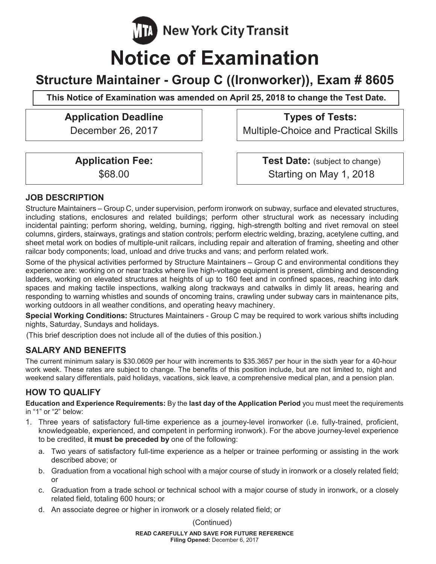**New York City Transit** 

# **Notice of Examination**

# **Structure Maintainer - Group C ((Ironworker)), Exam # 8605**

This Notice of Examination was amended on April 25, 2018 to change the Test Date.

# **Application Deadline Types of Tests:**

December 26, 2017 | Multiple-Choice and Practical Skills

**Application Fee:** \$68.00

**Test Date:** (subject to change) Starting on May 1, 2018

# **JOB DESCRIPTION**

Structure Maintainers – Group C, under supervision, perform ironwork on subway, surface and elevated structures, including stations, enclosures and related buildings; perform other structural work as necessary including incidental painting; perform shoring, welding, burning, rigging, high-strength bolting and rivet removal on steel columns, girders, stairways, gratings and station controls; perform electric welding, brazing, acetylene cutting, and sheet metal work on bodies of multiple-unit railcars, including repair and alteration of framing, sheeting and other railcar body components; load, unload and drive trucks and vans; and perform related work.

Some of the physical activities performed by Structure Maintainers – Group C and environmental conditions they experience are: working on or near tracks where live high-voltage equipment is present, climbing and descending ladders, working on elevated structures at heights of up to 160 feet and in confined spaces, reaching into dark spaces and making tactile inspections, walking along trackways and catwalks in dimly lit areas, hearing and responding to warning whistles and sounds of oncoming trains, crawling under subway cars in maintenance pits, working outdoors in all weather conditions, and operating heavy machinery.

**Special Working Conditions:** Structures Maintainers - Group C may be required to work various shifts including nights, Saturday, Sundays and holidays.

(This brief description does not include all of the duties of this position.)

# **SALARY AND BENEFITS**

The current minimum salary is \$30.0609 per hour with increments to \$35.3657 per hour in the sixth year for a 40-hour work week. These rates are subject to change. The benefits of this position include, but are not limited to, night and weekend salary differentials, paid holidays, vacations, sick leave, a comprehensive medical plan, and a pension plan.

# **HOW TO QUALIFY**

**Education and Experience Requirements:** By the **last day of the Application Period** you must meet the requirements in "1" or "2" below:

- 1. Three years of satisfactory full-time experience as a journey-level ironworker (i.e. fully-trained, proficient, knowledgeable, experienced, and competent in performing ironwork). For the above journey-level experience to be credited, **it must be preceded by** one of the following:
	- a. Two years of satisfactory full-time experience as a helper or trainee performing or assisting in the work described above; or
	- b. Graduation from a vocational high school with a major course of study in ironwork or a closely related field; or
	- c. Graduation from a trade school or technical school with a major course of study in ironwork, or a closely related field, totaling 600 hours; or
	- d. An associate degree or higher in ironwork or a closely related field; or

(Continued)

**READ CAREFULLY AND SAVE FOR FUTURE REFERENCE Filing Opened:** December 6, 2017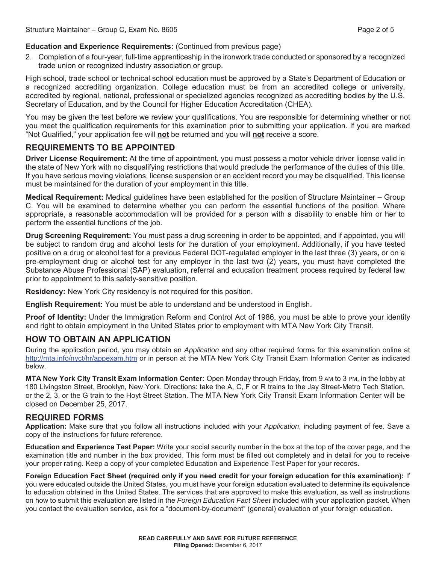#### **Education and Experience Requirements:** (Continued from previous page)

2. Completion of a four-year, full-time apprenticeship in the ironwork trade conducted or sponsored by a recognized trade union or recognized industry association or group.

High school, trade school or technical school education must be approved by a State's Department of Education or a recognized accrediting organization. College education must be from an accredited college or university, accredited by regional, national, professional or specialized agencies recognized as accrediting bodies by the U.S. Secretary of Education, and by the Council for Higher Education Accreditation (CHEA).

You may be given the test before we review your qualifications. You are responsible for determining whether or not you meet the qualification requirements for this examination prior to submitting your application. If you are marked "Not Qualified," your application fee will **not** be returned and you will **not** receive a score.

### **REQUIREMENTS TO BE APPOINTED**

**Driver License Requirement:** At the time of appointment, you must possess a motor vehicle driver license valid in the state of New York with no disqualifying restrictions that would preclude the performance of the duties of this title. If you have serious moving violations, license suspension or an accident record you may be disqualified. This license must be maintained for the duration of your employment in this title.

**Medical Requirement:** Medical guidelines have been established for the position of Structure Maintainer – Group C. You will be examined to determine whether you can perform the essential functions of the position. Where appropriate, a reasonable accommodation will be provided for a person with a disability to enable him or her to perform the essential functions of the job.

**Drug Screening Requirement:** You must pass a drug screening in order to be appointed, and if appointed, you will be subject to random drug and alcohol tests for the duration of your employment. Additionally, if you have tested positive on a drug or alcohol test for a previous Federal DOT-regulated employer in the last three (3) years**,** or on a pre-employment drug or alcohol test for any employer in the last two (2) years, you must have completed the Substance Abuse Professional (SAP) evaluation, referral and education treatment process required by federal law prior to appointment to this safety-sensitive position.

**Residency:** New York City residency is not required for this position.

**English Requirement:** You must be able to understand and be understood in English.

**Proof of Identity:** Under the Immigration Reform and Control Act of 1986, you must be able to prove your identity and right to obtain employment in the United States prior to employment with MTA New York City Transit.

#### **HOW TO OBTAIN AN APPLICATION**

During the application period, you may obtain an *Application* and any other required forms for this examination online at http://mta.info/nyct/hr/appexam.htm or in person at the MTA New York City Transit Exam Information Center as indicated below.

**MTA New York City Transit Exam Information Center:** Open Monday through Friday, from 9 AM to 3 PM, in the lobby at 180 Livingston Street, Brooklyn, New York. Directions: take the A, C, F or R trains to the Jay Street-Metro Tech Station, or the 2, 3, or the G train to the Hoyt Street Station. The MTA New York City Transit Exam Information Center will be closed on December 25, 2017.

#### **REQUIRED FORMS**

**Application:** Make sure that you follow all instructions included with your *Application*, including payment of fee. Save a copy of the instructions for future reference.

**Education and Experience Test Paper:** Write your social security number in the box at the top of the cover page, and the examination title and number in the box provided. This form must be filled out completely and in detail for you to receive your proper rating. Keep a copy of your completed Education and Experience Test Paper for your records.

**Foreign Education Fact Sheet (required only if you need credit for your foreign education for this examination):** If you were educated outside the United States, you must have your foreign education evaluated to determine its equivalence to education obtained in the United States. The services that are approved to make this evaluation, as well as instructions on how to submit this evaluation are listed in the *Foreign Education Fact Sheet* included with your application packet. When you contact the evaluation service, ask for a "document-by-document" (general) evaluation of your foreign education.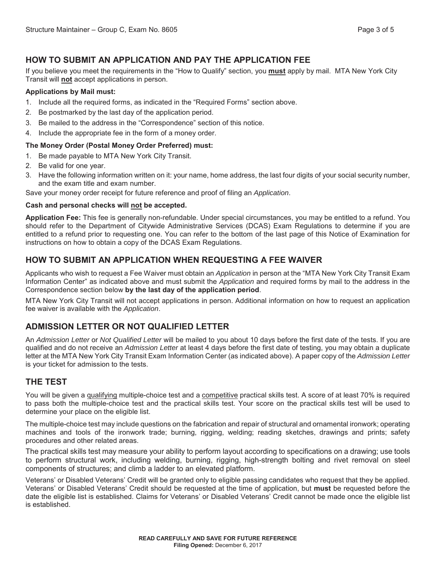# **HOW TO SUBMIT AN APPLICATION AND PAY THE APPLICATION FEE**

If you believe you meet the requirements in the "How to Qualify" section, you **must** apply by mail. MTA New York City Transit will **not** accept applications in person.

#### **Applications by Mail must:**

- 1. Include all the required forms, as indicated in the "Required Forms" section above.
- 2. Be postmarked by the last day of the application period.
- 3. Be mailed to the address in the "Correspondence" section of this notice.
- 4. Include the appropriate fee in the form of a money order.

#### **The Money Order (Postal Money Order Preferred) must:**

- 1. Be made payable to MTA New York City Transit.
- 2. Be valid for one year.
- 3. Have the following information written on it: your name, home address, the last four digits of your social security number, and the exam title and exam number.

Save your money order receipt for future reference and proof of filing an *Application*.

#### **Cash and personal checks will not be accepted.**

**Application Fee:** This fee is generally non-refundable. Under special circumstances, you may be entitled to a refund. You should refer to the Department of Citywide Administrative Services (DCAS) Exam Regulations to determine if you are entitled to a refund prior to requesting one. You can refer to the bottom of the last page of this Notice of Examination for instructions on how to obtain a copy of the DCAS Exam Regulations.

# **HOW TO SUBMIT AN APPLICATION WHEN REQUESTING A FEE WAIVER**

Applicants who wish to request a Fee Waiver must obtain an *Application* in person at the "MTA New York City Transit Exam Information Center" as indicated above and must submit the *Application* and required forms by mail to the address in the Correspondence section below **by the last day of the application period**.

MTA New York City Transit will not accept applications in person. Additional information on how to request an application fee waiver is available with the *Application*.

# **ADMISSION LETTER OR NOT QUALIFIED LETTER**

An *Admission Letter* or *Not Qualified Letter* will be mailed to you about 10 days before the first date of the tests. If you are qualified and do not receive an *Admission Letter* at least 4 days before the first date of testing, you may obtain a duplicate letter at the MTA New York City Transit Exam Information Center (as indicated above). A paper copy of the *Admission Letter* is your ticket for admission to the tests.

### **THE TEST**

You will be given a qualifying multiple-choice test and a competitive practical skills test. A score of at least 70% is required to pass both the multiple-choice test and the practical skills test. Your score on the practical skills test will be used to determine your place on the eligible list.

The multiple-choice test may include questions on the fabrication and repair of structural and ornamental ironwork; operating machines and tools of the ironwork trade; burning, rigging, welding; reading sketches, drawings and prints; safety procedures and other related areas.

The practical skills test may measure your ability to perform layout according to specifications on a drawing; use tools to perform structural work, including welding, burning, rigging, high-strength bolting and rivet removal on steel components of structures; and climb a ladder to an elevated platform.

Veterans' or Disabled Veterans' Credit will be granted only to eligible passing candidates who request that they be applied. Veterans' or Disabled Veterans' Credit should be requested at the time of application, but **must** be requested before the date the eligible list is established. Claims for Veterans' or Disabled Veterans' Credit cannot be made once the eligible list is established.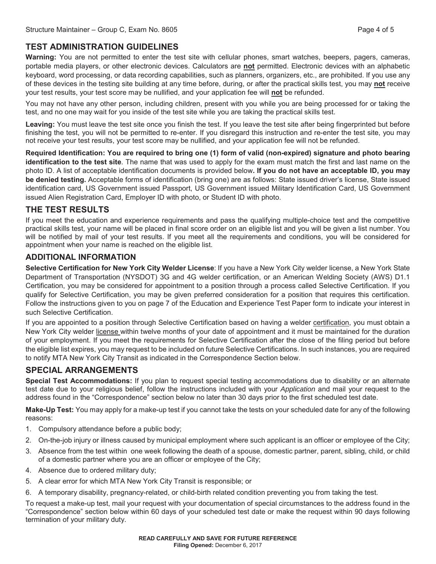# **TEST ADMINISTRATION GUIDELINES**

**Warning:** You are not permitted to enter the test site with cellular phones, smart watches, beepers, pagers, cameras, portable media players, or other electronic devices. Calculators are **not** permitted. Electronic devices with an alphabetic keyboard, word processing, or data recording capabilities, such as planners, organizers, etc., are prohibited. If you use any of these devices in the testing site building at any time before, during, or after the practical skills test, you may **not** receive your test results, your test score may be nullified, and your application fee will **not** be refunded.

You may not have any other person, including children, present with you while you are being processed for or taking the test, and no one may wait for you inside of the test site while you are taking the practical skills test.

**Leaving:** You must leave the test site once you finish the test. If you leave the test site after being fingerprinted but before finishing the test, you will not be permitted to re-enter. If you disregard this instruction and re-enter the test site, you may not receive your test results, your test score may be nullified, and your application fee will not be refunded.

**Required Identification: You are required to bring one (1) form of valid (non-expired) signature and photo bearing identification to the test site**. The name that was used to apply for the exam must match the first and last name on the photo ID. A list of acceptable identification documents is provided below**. If you do not have an acceptable ID, you may be denied testing.** Acceptable forms of identification (bring one) are as follows: State issued driver's license, State issued identification card, US Government issued Passport, US Government issued Military Identification Card, US Government issued Alien Registration Card, Employer ID with photo, or Student ID with photo.

### **THE TEST RESULTS**

If you meet the education and experience requirements and pass the qualifying multiple-choice test and the competitive practical skills test, your name will be placed in final score order on an eligible list and you will be given a list number. You will be notified by mail of your test results. If you meet all the requirements and conditions, you will be considered for appointment when your name is reached on the eligible list.

#### **ADDITIONAL INFORMATION**

**Selective Certification for New York City Welder License**: If you have a New York City welder license, a New York State Department of Transportation (NYSDOT) 3G and 4G welder certification, or an American Welding Society (AWS) D1.1 Certification, you may be considered for appointment to a position through a process called Selective Certification. If you qualify for Selective Certification, you may be given preferred consideration for a position that requires this certification. Follow the instructions given to you on page 7 of the Education and Experience Test Paper form to indicate your interest in such Selective Certification.

If you are appointed to a position through Selective Certification based on having a welder certification, you must obtain a New York City welder license within twelve months of your date of appointment and it must be maintained for the duration of your employment. If you meet the requirements for Selective Certification after the close of the filing period but before the eligible list expires, you may request to be included on future Selective Certifications. In such instances, you are required to notify MTA New York City Transit as indicated in the Correspondence Section below.

# **SPECIAL ARRANGEMENTS**

**Special Test Accommodations:** If you plan to request special testing accommodations due to disability or an alternate test date due to your religious belief, follow the instructions included with your *Application* and mail your request to the address found in the "Correspondence" section below no later than 30 days prior to the first scheduled test date.

**Make-Up Test:** You may apply for a make-up test if you cannot take the tests on your scheduled date for any of the following reasons:

- 1. Compulsory attendance before a public body;
- 2. On-the-job injury or illness caused by municipal employment where such applicant is an officer or employee of the City;
- 3. Absence from the test within one week following the death of a spouse, domestic partner, parent, sibling, child, or child of a domestic partner where you are an officer or employee of the City;
- 4. Absence due to ordered military duty;
- 5. A clear error for which MTA New York City Transit is responsible; or
- 6. A temporary disability, pregnancy-related, or child-birth related condition preventing you from taking the test.

To request a make-up test, mail your request with your documentation of special circumstances to the address found in the "Correspondence" section below within 60 days of your scheduled test date or make the request within 90 days following termination of your military duty.